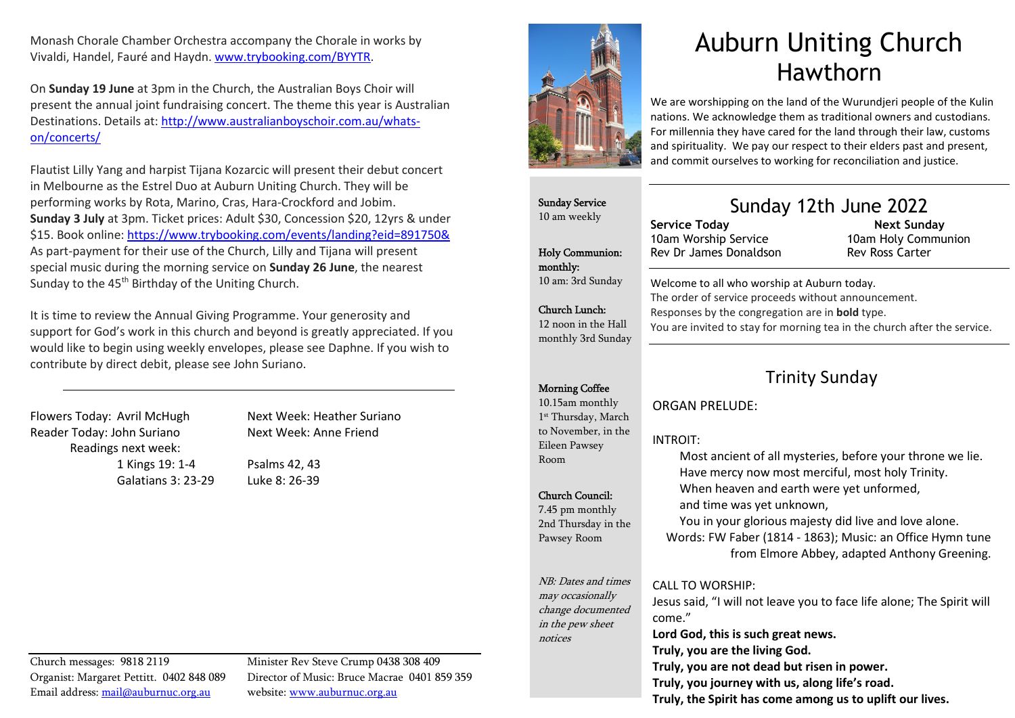Monash Chorale Chamber Orchestra accompany the Chorale in works by Vivaldi, Handel, Fauré and Haydn. www.trybooking.com/BYYTR.

On Sunday 19 June at 3pm in the Church, the Australian Boys Choir will present the annual joint fundraising concert. The theme this year is Australian Destinations. Details at: http://www.australianboyschoir.com.au/whatson/concerts/

Flautist Lilly Yang and harpist Tijana Kozarcic will present their debut concert in Melbourne as the Estrel Duo at Auburn Uniting Church. They will be performing works by Rota, Marino, Cras, Hara-Crockford and Jobim. Sunday 3 July at 3pm. Ticket prices: Adult \$30, Concession \$20, 12yrs & under \$15. Book online: https://www.trybooking.com/events/landing?eid=891750& As part-payment for their use of the Church, Lilly and Tijana will present special music during the morning service on Sunday 26 June, the nearest Sunday to the 45<sup>th</sup> Birthday of the Uniting Church.

It is time to review the Annual Giving Programme. Your generosity and support for God's work in this church and beyond is greatly appreciated. If you would like to begin using weekly envelopes, please see Daphne. If you wish to contribute by direct debit, please see John Suriano.

Flowers Today: Avril McHugh Next Week: Heather Suriano Reader Today: John Suriano Next Week: Anne Friend Readings next week: 1 Kings 19: 1-4 Psalms 42, 43 Galatians 3: 23-29 Luke 8: 26-39

Church messages: 9818 2119 Minister Rev Steve Crump 0438 308 409 Email address: mail@auburnuc.org.au website: www.auburnuc.org.au

Organist: Margaret Pettitt. 0402 848 089 Director of Music: Bruce Macrae 0401 859 359



# Auburn Uniting Church Hawthorn

We are worshipping on the land of the Wurundjeri people of the Kulin nations. We acknowledge them as traditional owners and custodians. For millennia they have cared for the land through their law, customs and spirituality. We pay our respect to their elders past and present, and commit ourselves to working for reconciliation and justice.

Sunday Service 10 am weekly

Holy Communion: monthly: 10 am: 3rd Sunday

Church Lunch: 12 noon in the Hall monthly 3rd Sunday

# Sunday 12th June 2022

Service Today 10am Worship Service Rev Dr James Donaldson

#### Next Sunday 10am Holy Communion Rev Ross Carter

Welcome to all who worship at Auburn today. The order of service proceeds without announcement. Responses by the congregation are in bold type. You are invited to stay for morning tea in the church after the service.

### Morning Coffee

10.15am monthly 1st Thursday, March to November, in the Eileen Pawsey Room

#### Church Council:

7.45 pm monthly 2nd Thursday in the Pawsey Room

NB: Dates and times may occasionally change documented in the pew sheet notices

#### CALL TO WORSHIP:

Jesus said, "I will not leave you to face life alone; The Spirit will come." Lord God, this is such great news. Truly, you are the living God. Truly, you are not dead but risen in power. Truly, you journey with us, along life's road. Truly, the Spirit has come among us to uplift our lives.

## Trinity Sunday

ORGAN PRELUDE:

#### INTROIT:

Most ancient of all mysteries, before your throne we lie. Have mercy now most merciful, most holy Trinity. When heaven and earth were yet unformed, and time was yet unknown, You in your glorious majesty did live and love alone.

Words: FW Faber (1814 - 1863); Music: an Office Hymn tune from Elmore Abbey, adapted Anthony Greening.